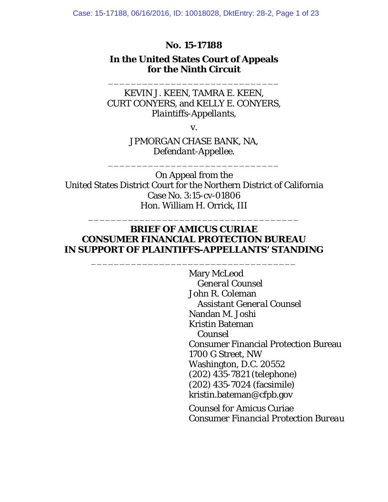#### **No. 15-17188**

### **In the United States Court of Appeals for the Ninth Circuit**

\_\_\_\_\_\_\_\_\_\_\_\_\_\_\_\_\_\_\_\_\_\_\_\_\_\_\_\_\_\_

KEVIN J. KEEN, TAMRA E. KEEN, CURT CONYERS, and KELLY E. CONYERS, *Plaintiffs-Appellants*,

v.

JPMORGAN CHASE BANK, NA, *Defendant-Appellee*.

\_\_\_\_\_\_\_\_\_\_\_\_\_\_\_\_\_\_\_\_\_\_\_\_\_\_\_\_\_\_

On Appeal from the United States District Court for the Northern District of California Case No. 3:15-cv-01806 Hon. William H. Orrick, III

#### **BRIEF OF** *AMICUS CURIAE* **CONSUMER FINANCIAL PROTECTION BUREAU IN SUPPORT OF PLAINTIFFS-APPELLANTS' STANDING**

\_\_\_\_\_\_\_\_\_\_\_\_\_\_\_\_\_\_\_\_\_\_\_\_\_\_\_\_\_\_\_\_\_\_\_\_

\_\_\_\_\_\_\_\_\_\_\_\_\_\_\_\_\_\_\_\_\_\_\_\_\_\_\_\_\_\_\_\_\_\_\_\_\_

 Mary McLeod *General Counsel*  John R. Coleman *Assistant General Counsel*  Nandan M. Joshi Kristin Bateman *Counsel*  Consumer Financial Protection Bureau 1700 G Street, NW Washington, D.C. 20552 (202) 435-7821 (telephone) (202) 435-7024 (facsimile) kristin.bateman@cfpb.gov

*Counsel for* Amicus Curiae *Consumer Financial Protection Bureau*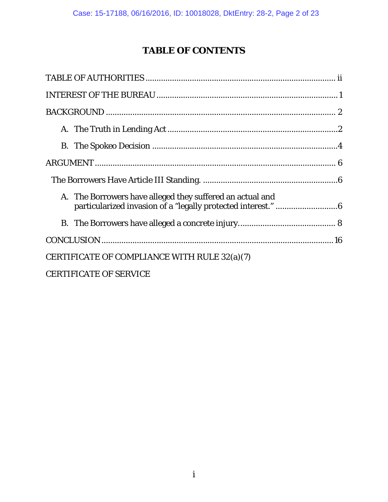# **TABLE OF CONTENTS**

| A. The Borrowers have alleged they suffered an actual and |
|-----------------------------------------------------------|
|                                                           |
|                                                           |
| CERTIFICATE OF COMPLIANCE WITH RULE 32(a)(7)              |
| <b>CERTIFICATE OF SERVICE</b>                             |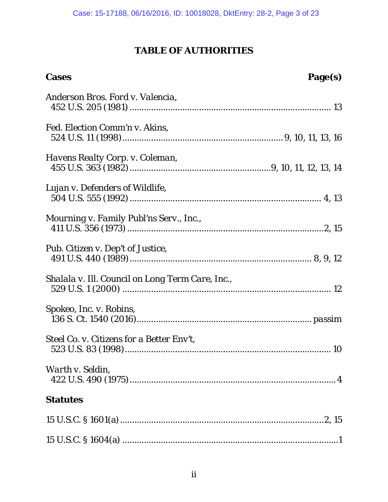### **TABLE OF AUTHORITIES**

| <b>Cases</b>                                     | Page(s) |
|--------------------------------------------------|---------|
| Anderson Bros. Ford v. Valencia,                 |         |
| Fed. Election Comm'n v. Akins,                   |         |
| Havens Realty Corp. v. Coleman,                  |         |
| Lujan v. Defenders of Wildlife,                  |         |
| Mourning v. Family Publ'ns Serv., Inc.,          |         |
| Pub. Citizen v. Dep't of Justice,                |         |
| Shalala v. Ill. Council on Long Term Care, Inc., |         |
| Spokeo, Inc. v. Robins,                          |         |
| Steel Co. v. Citizens for a Better Env't,        |         |
| Warth v. Seldin,                                 |         |
| <b>Statutes</b>                                  |         |
|                                                  |         |
|                                                  |         |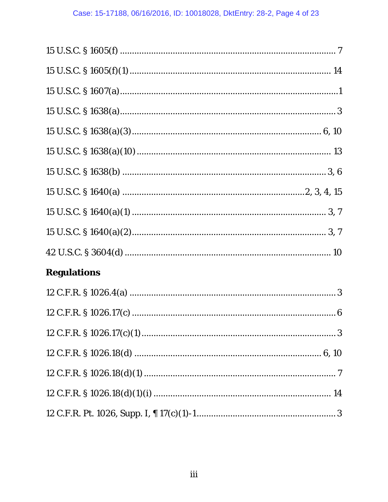| 15 U.S.C. $\frac{1605(f)(1) \dots (1606)}{14}$ |
|------------------------------------------------|
|                                                |
|                                                |
|                                                |
|                                                |
|                                                |
|                                                |
|                                                |
|                                                |
|                                                |
| <b>Regulations</b>                             |
|                                                |
|                                                |
|                                                |
|                                                |
|                                                |
|                                                |
|                                                |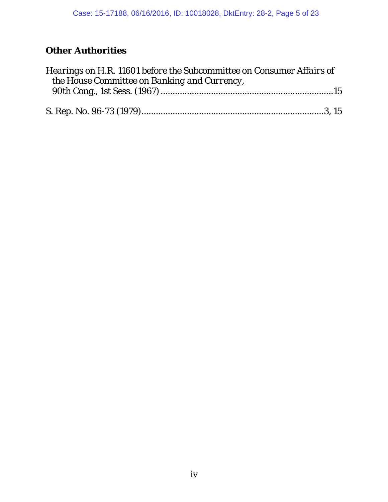# **Other Authorities**

| Hearings on H.R. 11601 before the Subcommittee on Consumer Affairs of |  |
|-----------------------------------------------------------------------|--|
| the House Committee on Banking and Currency,                          |  |
|                                                                       |  |
|                                                                       |  |
|                                                                       |  |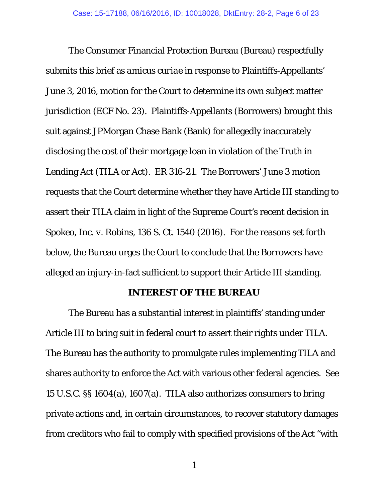The Consumer Financial Protection Bureau (Bureau) respectfully submits this brief as *amicus curiae* in response to Plaintiffs-Appellants' June 3, 2016, motion for the Court to determine its own subject matter jurisdiction (ECF No. 23). Plaintiffs-Appellants (Borrowers) brought this suit against JPMorgan Chase Bank (Bank) for allegedly inaccurately disclosing the cost of their mortgage loan in violation of the Truth in Lending Act (TILA or Act). ER 316-21. The Borrowers' June 3 motion requests that the Court determine whether they have Article III standing to assert their TILA claim in light of the Supreme Court's recent decision in *Spokeo, Inc. v. Robins*, 136 S. Ct. 1540 (2016). For the reasons set forth below, the Bureau urges the Court to conclude that the Borrowers have alleged an injury-in-fact sufficient to support their Article III standing.

#### **INTEREST OF THE BUREAU**

The Bureau has a substantial interest in plaintiffs' standing under Article III to bring suit in federal court to assert their rights under TILA. The Bureau has the authority to promulgate rules implementing TILA and shares authority to enforce the Act with various other federal agencies. *See* 15 U.S.C. §§ 1604(a), 1607(a). TILA also authorizes consumers to bring private actions and, in certain circumstances, to recover statutory damages from creditors who fail to comply with specified provisions of the Act "with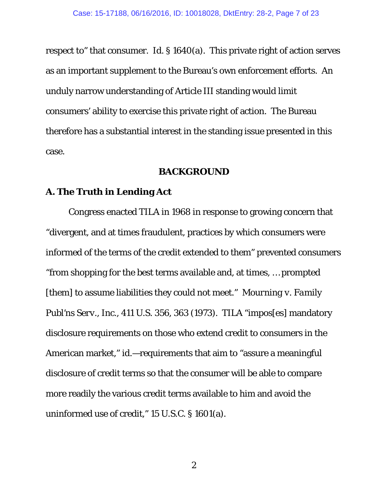respect to" that consumer. *Id.* § 1640(a). This private right of action serves as an important supplement to the Bureau's own enforcement efforts. An unduly narrow understanding of Article III standing would limit consumers' ability to exercise this private right of action. The Bureau therefore has a substantial interest in the standing issue presented in this case.

#### **BACKGROUND**

#### **A. The Truth in Lending Act**

Congress enacted TILA in 1968 in response to growing concern that "divergent, and at times fraudulent, practices by which consumers were informed of the terms of the credit extended to them" prevented consumers "from shopping for the best terms available and, at times, … prompted [them] to assume liabilities they could not meet." *Mourning v. Family Publ'ns Serv., Inc.*, 411 U.S. 356, 363 (1973). TILA "impos[es] mandatory disclosure requirements on those who extend credit to consumers in the American market," *id.*—requirements that aim to "assure a meaningful disclosure of credit terms so that the consumer will be able to compare more readily the various credit terms available to him and avoid the uninformed use of credit," 15 U.S.C. § 1601(a).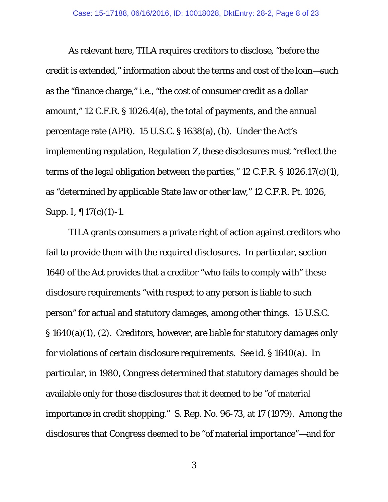As relevant here, TILA requires creditors to disclose, "before the credit is extended," information about the terms and cost of the loan—such as the "finance charge," *i.e.,* "the cost of consumer credit as a dollar amount," 12 C.F.R. § 1026.4(a), the total of payments, and the annual percentage rate (APR). 15 U.S.C. § 1638(a), (b). Under the Act's implementing regulation, Regulation Z, these disclosures must "reflect the terms of the legal obligation between the parties," 12 C.F.R. § 1026.17(c)(1), as "determined by applicable State law or other law," 12 C.F.R. Pt. 1026, Supp. I, ¶ 17(c)(1)-1.

TILA grants consumers a private right of action against creditors who fail to provide them with the required disclosures. In particular, section 1640 of the Act provides that a creditor "who fails to comply with" these disclosure requirements "with respect to any person is liable to such person" for actual and statutory damages, among other things. 15 U.S.C. § 1640(a)(1), (2). Creditors, however, are liable for statutory damages only for violations of certain disclosure requirements. *See id.* § 1640(a). In particular, in 1980, Congress determined that statutory damages should be available only for those disclosures that it deemed to be "of material importance in credit shopping." S. Rep. No. 96-73, at 17 (1979). Among the disclosures that Congress deemed to be "of material importance"—and for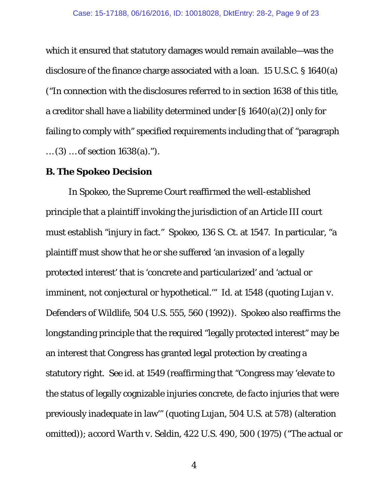which it ensured that statutory damages would remain available—was the disclosure of the finance charge associated with a loan. 15 U.S.C. § 1640(a) ("In connection with the disclosures referred to in section 1638 of this title, a creditor shall have a liability determined under [§ 1640(a)(2)] only for failing to comply with" specified requirements including that of "paragraph … (3) … of section 1638(a).").

#### **B. The** *Spokeo* **Decision**

In *Spokeo*, the Supreme Court reaffirmed the well-established principle that a plaintiff invoking the jurisdiction of an Article III court must establish "injury in fact." *Spokeo*, 136 S. Ct. at 1547. In particular, "a plaintiff must show that he or she suffered 'an invasion of a legally protected interest' that is 'concrete and particularized' and 'actual or imminent, not conjectural or hypothetical.'" *Id.* at 1548 (quoting *Lujan v. Defenders of Wildlife*, 504 U.S. 555, 560 (1992)). *Spokeo* also reaffirms the longstanding principle that the required "legally protected interest" may be an interest that Congress has granted legal protection by creating a statutory right. *See id.* at 1549 (reaffirming that "Congress may 'elevate to the status of legally cognizable injuries concrete, *de facto* injuries that were previously inadequate in law'" (quoting *Lujan*, 504 U.S. at 578) (alteration omitted)); *accord Warth v. Seldin*, 422 U.S. 490, 500 (1975) ("The actual or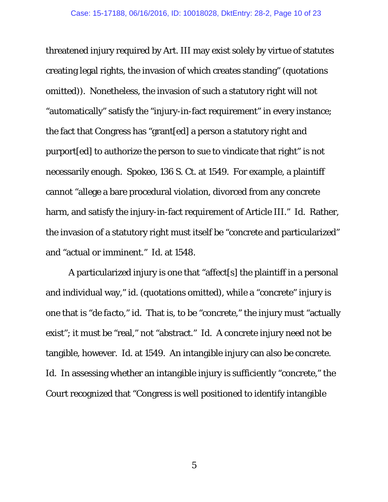threatened injury required by Art. III may exist solely by virtue of statutes creating legal rights, the invasion of which creates standing" (quotations omitted)). Nonetheless, the invasion of such a statutory right will not "automatically" satisfy the "injury-in-fact requirement" in every instance; the fact that Congress has "grant[ed] a person a statutory right and purport[ed] to authorize the person to sue to vindicate that right" is not necessarily enough. *Spokeo*, 136 S. Ct. at 1549. For example, a plaintiff cannot "allege a bare procedural violation, divorced from any concrete harm, and satisfy the injury-in-fact requirement of Article III." *Id.* Rather, the invasion of a statutory right must itself be "concrete and particularized" and "actual or imminent." *Id.* at 1548.

A particularized injury is one that "affect[s] the plaintiff in a personal and individual way," *id*. (quotations omitted), while a "concrete" injury is one that is "*de facto*," *id.* That is, to be "concrete," the injury must "actually exist"; it must be "real," not "abstract." *Id.* A concrete injury need not be tangible, however. *Id.* at 1549. An intangible injury can also be concrete. *Id.* In assessing whether an intangible injury is sufficiently "concrete," the Court recognized that "Congress is well positioned to identify intangible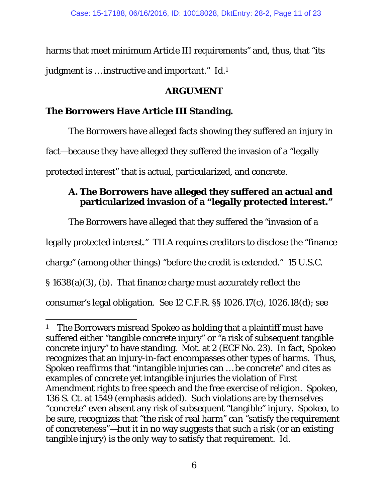harms that meet minimum Article III requirements" and, thus, that "its judgment is … instructive and important." *Id.*1

### **ARGUMENT**

## **The Borrowers Have Article III Standing.**

The Borrowers have alleged facts showing they suffered an injury in fact—because they have alleged they suffered the invasion of a "legally protected interest" that is actual, particularized, and concrete.

### **A. The Borrowers have alleged they suffered an actual and particularized invasion of a "legally protected interest."**

The Borrowers have alleged that they suffered the "invasion of a

legally protected interest." TILA requires creditors to disclose the "finance

charge" (among other things) "before the credit is extended." 15 U.S.C.

§ 1638(a)(3), (b). That finance charge must accurately reflect the

 $\overline{a}$ 

consumer's legal obligation. *See* 12 C.F.R. §§ 1026.17(c), 1026.18(d); *see* 

<sup>1</sup> The Borrowers misread *Spokeo* as holding that a plaintiff must have suffered either "tangible concrete injury" or "a risk of subsequent tangible concrete injury" to have standing. Mot. at 2 (ECF No. 23). In fact, *Spokeo*  recognizes that an injury-in-fact encompasses other types of harms. Thus, *Spokeo* reaffirms that "*in*tangible injuries can … be concrete" and cites as examples of concrete yet intangible injuries the violation of First Amendment rights to free speech and the free exercise of religion. *Spokeo*, 136 S. Ct. at 1549 (emphasis added). Such violations are by themselves "concrete" even absent any risk of subsequent "tangible" injury. *Spokeo*, to be sure, recognizes that "the risk of real harm" *can* "satisfy the requirement of concreteness"—but it in no way suggests that such a risk (or an existing tangible injury) is the *only* way to satisfy that requirement. *Id.*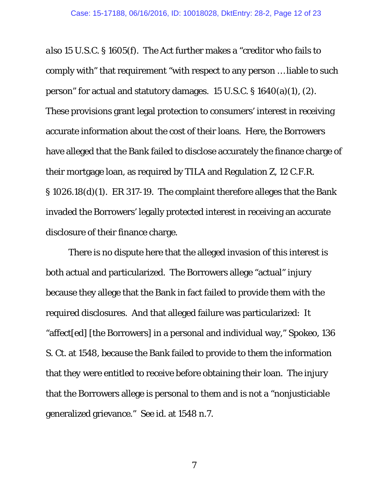*also* 15 U.S.C. § 1605(f). The Act further makes a "creditor who fails to comply with" that requirement "with respect to any person … liable to such person" for actual and statutory damages. 15 U.S.C. § 1640(a)(1), (2). These provisions grant legal protection to consumers' interest in receiving accurate information about the cost of their loans. Here, the Borrowers have alleged that the Bank failed to disclose accurately the finance charge of their mortgage loan, as required by TILA and Regulation Z, 12 C.F.R. § 1026.18(d)(1). ER 317-19. The complaint therefore alleges that the Bank invaded the Borrowers' legally protected interest in receiving an accurate disclosure of their finance charge.

There is no dispute here that the alleged invasion of this interest is both actual and particularized. The Borrowers allege "actual" injury because they allege that the Bank in fact failed to provide them with the required disclosures. And that alleged failure was particularized: It "affect[ed] [the Borrowers] in a personal and individual way," *Spokeo*, 136 S. Ct. at 1548, because the Bank failed to provide *to them* the information that *they* were entitled to receive before obtaining *their* loan. The injury that the Borrowers allege is personal to them and is not a "nonjusticiable generalized grievance." *See id.* at 1548 n.7.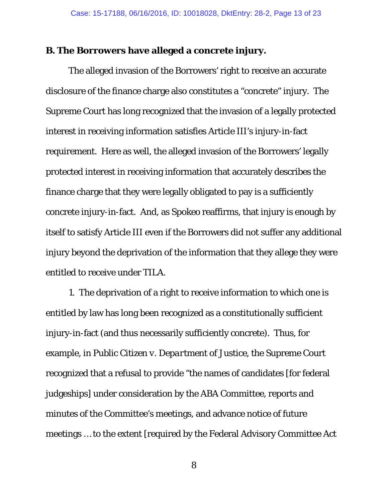#### **B. The Borrowers have alleged a concrete injury.**

The alleged invasion of the Borrowers' right to receive an accurate disclosure of the finance charge also constitutes a "concrete" injury. The Supreme Court has long recognized that the invasion of a legally protected interest in receiving information satisfies Article III's injury-in-fact requirement. Here as well, the alleged invasion of the Borrowers' legally protected interest in receiving information that accurately describes the finance charge that they were legally obligated to pay is a sufficiently concrete injury-in-fact. And, as *Spokeo* reaffirms, that injury is enough by itself to satisfy Article III even if the Borrowers did not suffer any additional injury beyond the deprivation of the information that they allege they were entitled to receive under TILA.

1. The deprivation of a right to receive information to which one is entitled by law has long been recognized as a constitutionally sufficient injury-in-fact (and thus necessarily sufficiently concrete). Thus, for example, in *Public Citizen v. Department of Justice*, the Supreme Court recognized that a refusal to provide "the names of candidates [for federal judgeships] under consideration by the ABA Committee, reports and minutes of the Committee's meetings, and advance notice of future meetings … to the extent [required by the Federal Advisory Committee Act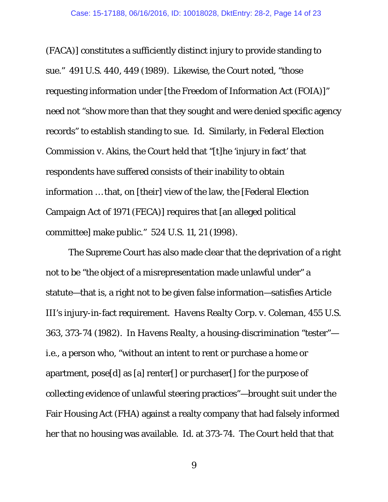(FACA)] constitutes a sufficiently distinct injury to provide standing to sue." 491 U.S. 440, 449 (1989). Likewise, the Court noted, "those requesting information under [the Freedom of Information Act (FOIA)]" need not "show more than that they sought and were denied specific agency records" to establish standing to sue. *Id.* Similarly, in *Federal Election Commission v. Akins*, the Court held that "[t]he 'injury in fact' that respondents have suffered consists of their inability to obtain information … that, on [their] view of the law, the [Federal Election Campaign Act of 1971 (FECA)] requires that [an alleged political committee] make public." 524 U.S. 11, 21 (1998).

The Supreme Court has also made clear that the deprivation of a right not to be "the object of a misrepresentation made unlawful under" a statute—that is, a right not to be given false information—satisfies Article III's injury-in-fact requirement. *Havens Realty Corp. v. Coleman*, 455 U.S. 363, 373-74 (1982). In *Havens Realty*, a housing-discrimination "tester" *i.e.*, a person who, "without an intent to rent or purchase a home or apartment, pose[d] as [a] renter[] or purchaser[] for the purpose of collecting evidence of unlawful steering practices"—brought suit under the Fair Housing Act (FHA) against a realty company that had falsely informed her that no housing was available. *Id.* at 373-74. The Court held that that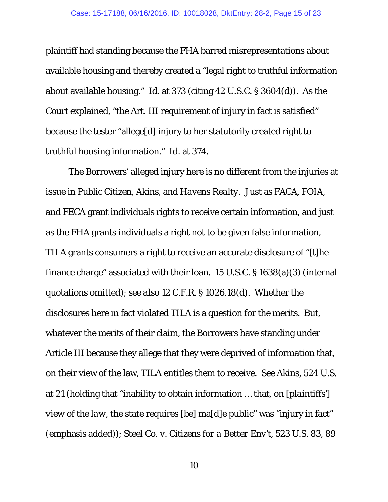plaintiff had standing because the FHA barred misrepresentations about available housing and thereby created a "legal right to truthful information about available housing." *Id.* at 373 (citing 42 U.S.C. § 3604(d)). As the Court explained, "the Art. III requirement of injury in fact is satisfied" because the tester "allege[d] injury to her statutorily created right to truthful housing information." *Id.* at 374.

The Borrowers' alleged injury here is no different from the injuries at issue in *Public Citizen*, *Akins*, and *Havens Realty*. Just as FACA, FOIA, and FECA grant individuals rights to receive certain information, and just as the FHA grants individuals a right not to be given false information, TILA grants consumers a right to receive an accurate disclosure of "[t]he finance charge" associated with their loan. 15 U.S.C. § 1638(a)(3) (internal quotations omitted); *see also* 12 C.F.R. § 1026.18(d). Whether the disclosures here in fact violated TILA is a question for the merits. But, whatever the merits of their claim, the Borrowers have standing under Article III because they allege that they were deprived of information that, on their view of the law, TILA entitles them to receive. *See Akins*, 524 U.S. at 21 (holding that "inability to obtain information … that, *on [plaintiffs'] view of the law*, the state requires [be] ma[d]e public" was "injury in fact" (emphasis added)); *Steel Co. v. Citizens for a Better Env't*, 523 U.S. 83, 89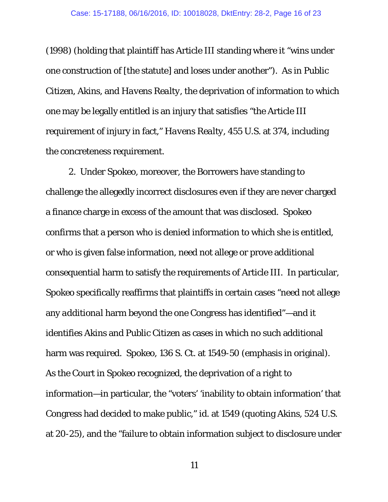(1998) (holding that plaintiff has Article III standing where it "wins under one construction of [the statute] and loses under another"). As in *Public Citizen*, *Akins*, and *Havens Realty*, the deprivation of information to which one may be legally entitled is an injury that satisfies "the Article III requirement of injury in fact," *Havens Realty*, 455 U.S. at 374, including the concreteness requirement.

2. Under *Spokeo*, moreover, the Borrowers have standing to challenge the allegedly incorrect disclosures even if they are never charged a finance charge in excess of the amount that was disclosed. *Spokeo* confirms that a person who is denied information to which she is entitled, or who is given false information, need not allege or prove additional consequential harm to satisfy the requirements of Article III. In particular, *Spokeo* specifically reaffirms that plaintiffs in certain cases "need not allege any *additional* harm beyond the one Congress has identified"—and it identifies *Akins* and *Public Citizen* as cases in which no such additional harm was required. *Spokeo*, 136 S. Ct. at 1549-50 (emphasis in original). As the Court in *Spokeo* recognized, the deprivation of a right to information—in particular, the "voters' 'inability to obtain information' that Congress had decided to make public," *id.* at 1549 (quoting *Akins*, 524 U.S. at 20-25), and the "failure to obtain information subject to disclosure under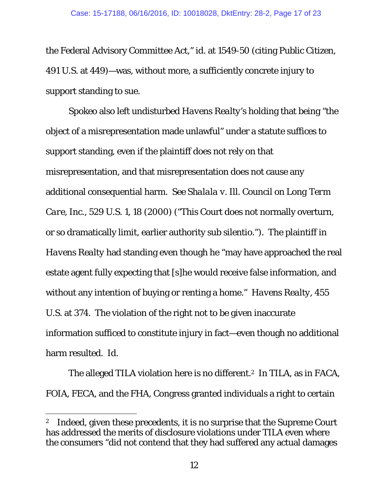the Federal Advisory Committee Act," *id.* at 1549-50 (citing *Public Citizen*, 491 U.S. at 449)—was, without more, a sufficiently concrete injury to support standing to sue.

*Spokeo* also left undisturbed *Havens Realty*'s holding that being "the object of a misrepresentation made unlawful" under a statute suffices to support standing, even if the plaintiff does not rely on that misrepresentation, and that misrepresentation does not cause any additional consequential harm. *See Shalala v. Ill. Council on Long Term Care, Inc.*, 529 U.S. 1, 18 (2000) ("This Court does not normally overturn, or so dramatically limit, earlier authority *sub silentio*."). The plaintiff in *Havens Realty* had standing even though he "may have approached the real estate agent fully expecting that [s]he would receive false information, and without any intention of buying or renting a home." *Havens Realty*, 455 U.S. at 374. The violation of the right not to be given inaccurate information sufficed to constitute injury in fact—even though no additional harm resulted. *Id.*

The alleged TILA violation here is no different.<sup>2</sup> In TILA, as in FACA, FOIA, FECA, and the FHA, Congress granted individuals a right to certain

 $\overline{a}$ 

<sup>&</sup>lt;sup>2</sup> Indeed, given these precedents, it is no surprise that the Supreme Court has addressed the merits of disclosure violations under TILA even where the consumers "did not contend that they had suffered any actual damages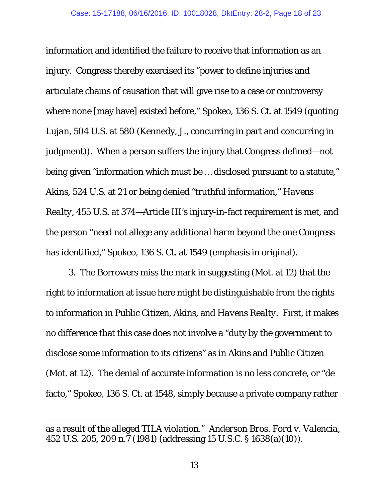information and identified the failure to receive that information as an injury. Congress thereby exercised its "power to define injuries and articulate chains of causation that will give rise to a case or controversy where none [may have] existed before," *Spokeo,* 136 S. Ct. at 1549 (quoting *Lujan*, 504 U.S. at 580 (Kennedy, J., concurring in part and concurring in judgment)). When a person suffers the injury that Congress defined—not being given "information which must be … disclosed pursuant to a statute," *Akins*, 524 U.S. at 21 or being denied "truthful information," *Havens Realty*, 455 U.S. at 374—Article III's injury-in-fact requirement is met, and the person "need not allege any *additional* harm beyond the one Congress has identified," *Spokeo*, 136 S. Ct. at 1549 (emphasis in original).

3. The Borrowers miss the mark in suggesting (Mot. at 12) that the right to information at issue here might be distinguishable from the rights to information in *Public Citizen*, *Akins*, and *Havens Realty*. First, it makes no difference that this case does not involve a "duty by the government to disclose some information to its citizens" as in *Akins* and *Public Citizen* (Mot. at 12). The denial of accurate information is no less concrete, or "de facto," *Spokeo*, 136 S. Ct. at 1548, simply because a private company rather

 $\overline{a}$ 

as a result of the alleged TILA violation." *Anderson Bros. Ford v. Valencia*, 452 U.S. 205, 209 n.7 (1981) (addressing 15 U.S.C. § 1638(a)(10)).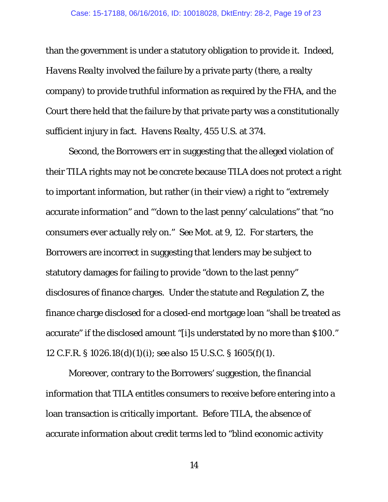than the government is under a statutory obligation to provide it. Indeed, *Havens Realty* involved the failure by a private party (there, a realty company) to provide truthful information as required by the FHA, and the Court there held that the failure by that private party was a constitutionally sufficient injury in fact. *Havens Realty*, 455 U.S. at 374.

Second, the Borrowers err in suggesting that the alleged violation of their TILA rights may not be concrete because TILA does not protect a right to important information, but rather (in their view) a right to "extremely accurate information" and "'down to the last penny' calculations" that "no consumers ever actually rely on." *See* Mot. at 9, 12. For starters, the Borrowers are incorrect in suggesting that lenders may be subject to statutory damages for failing to provide "down to the last penny" disclosures of finance charges. Under the statute and Regulation Z, the finance charge disclosed for a closed-end mortgage loan "shall be treated as accurate" if the disclosed amount "[i]s understated by no more than \$100." 12 C.F.R. § 1026.18(d)(1)(i); *see also* 15 U.S.C. § 1605(f)(1).

Moreover, contrary to the Borrowers' suggestion, the financial information that TILA entitles consumers to receive before entering into a loan transaction is critically important. Before TILA, the absence of accurate information about credit terms led to "blind economic activity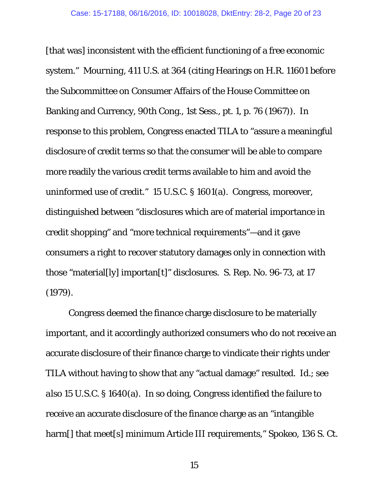[that was] inconsistent with the efficient functioning of a free economic system." *Mourning*, 411 U.S. at 364 (citing Hearings on H.R. 11601 before the Subcommittee on Consumer Affairs of the House Committee on Banking and Currency, 90th Cong., 1st Sess., pt. 1, p. 76 (1967)). In response to this problem, Congress enacted TILA to "assure a meaningful disclosure of credit terms so that the consumer will be able to compare more readily the various credit terms available to him and avoid the uninformed use of credit." 15 U.S.C. § 1601(a). Congress, moreover, distinguished between "disclosures which are of material importance in credit shopping" and "more technical requirements"—and it gave consumers a right to recover statutory damages only in connection with those "material[ly] importan[t]" disclosures. S. Rep. No. 96-73, at 17 (1979).

Congress deemed the finance charge disclosure to be materially important, and it accordingly authorized consumers who do not receive an accurate disclosure of their finance charge to vindicate their rights under TILA without having to show that any "actual damage" resulted. *Id.*; *see also* 15 U.S.C. § 1640(a). In so doing, Congress identified the failure to receive an accurate disclosure of the finance charge as an "intangible harm[] that meet[s] minimum Article III requirements," *Spokeo*, 136 S. Ct.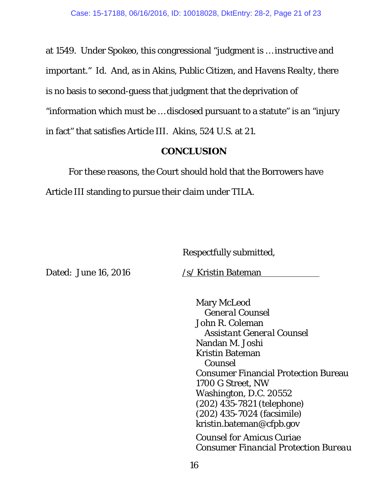at 1549. Under *Spokeo*, this congressional "judgment is … instructive and important." *Id.* And, as in *Akins*, *Public Citizen*, and *Havens Realty*, there is no basis to second-guess that judgment that the deprivation of "information which must be … disclosed pursuant to a statute" is an "injury in fact" that satisfies Article III. *Akins*, 524 U.S. at 21.

### **CONCLUSION**

For these reasons, the Court should hold that the Borrowers have Article III standing to pursue their claim under TILA.

Respectfully submitted,

Dated: June 16, 2016 /s/ Kristin Bateman

 Mary McLeod *General Counsel*  John R. Coleman *Assistant General Counsel*  Nandan M. Joshi Kristin Bateman  *Counsel*  Consumer Financial Protection Bureau 1700 G Street, NW Washington, D.C. 20552 (202) 435-7821 (telephone) (202) 435-7024 (facsimile) kristin.bateman@cfpb.gov

*Counsel for* Amicus Curiae *Consumer Financial Protection Bureau*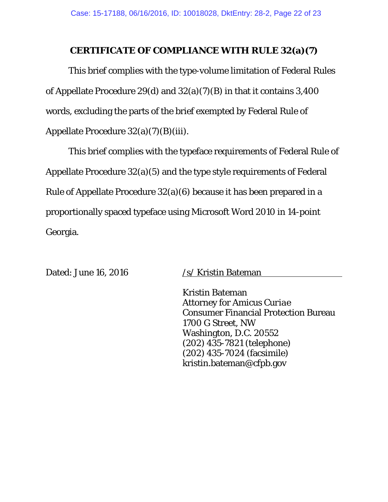#### **CERTIFICATE OF COMPLIANCE WITH RULE 32(a)(7)**

This brief complies with the type-volume limitation of Federal Rules of Appellate Procedure 29(d) and 32(a)(7)(B) in that it contains 3,400 words, excluding the parts of the brief exempted by Federal Rule of Appellate Procedure 32(a)(7)(B)(iii).

This brief complies with the typeface requirements of Federal Rule of Appellate Procedure 32(a)(5) and the type style requirements of Federal Rule of Appellate Procedure 32(a)(6) because it has been prepared in a proportionally spaced typeface using Microsoft Word 2010 in 14-point Georgia.

Dated: June 16, 2016 /s/ Kristin Bateman

Kristin Bateman Attorney for *Amicus Curiae* Consumer Financial Protection Bureau 1700 G Street, NW Washington, D.C. 20552 (202) 435-7821 (telephone) (202) 435-7024 (facsimile) kristin.bateman@cfpb.gov